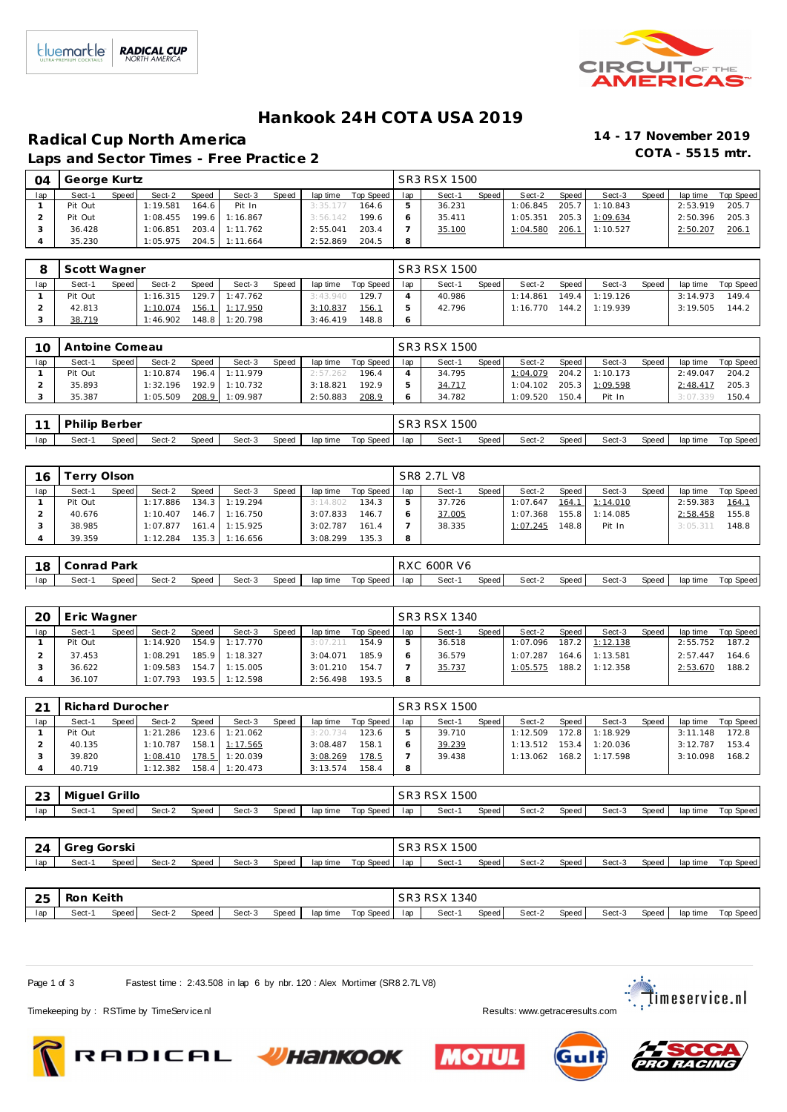

### **Hankook 24H COT A USA 2019**

## **Radical Cup North America 14 - 17 November 2019**

Laps and Sector Times - Free Practice 2

| Sect-1  | Sect-2   | <b>Speed</b>          | Sect-3 | Speed                                                | lap time |       | lap                  | Sect-1    | Sect-2       | Speed | Sect-3   | Speed                            | lap time | Top Speed |
|---------|----------|-----------------------|--------|------------------------------------------------------|----------|-------|----------------------|-----------|--------------|-------|----------|----------------------------------|----------|-----------|
| Pit Out | 1:19.581 | 164.6                 | Pit In |                                                      | 3:35.177 | 164.6 |                      | 36.231    | 1:06.845     |       | 1:10.843 |                                  | 2:53.919 | 205.7     |
| Pit Out | 1:08.455 |                       |        |                                                      |          | 199.6 |                      | 35.411    | 1:05.351     |       |          |                                  | 2:50.396 | 205.3     |
| 36.428  | 1:06.851 |                       |        |                                                      | 2:55.041 | 203.4 |                      | 35.100    | 1:04.580     |       | 1:10.527 |                                  | 2:50.207 | 206.7     |
| 35.230  | 1:05.975 |                       |        |                                                      |          | 204.5 | 8                    |           |              |       |          |                                  |          |           |
|         |          | George Kurtz<br>Speed |        | 199.6 1:16.867<br>$203.4$ 1:11.762<br>204.5 1:11.664 |          |       | 3:56.142<br>2:52.869 | Top Speed | SR3 RSX 1500 | Speed |          | 205.7<br>205.3 1:09.634<br>206.1 |          |           |

|     | Scott Wagner |       |          |       |                    |       |          |           |     | SR3 RSX 1500 |       |          |       |                |       |          |           |
|-----|--------------|-------|----------|-------|--------------------|-------|----------|-----------|-----|--------------|-------|----------|-------|----------------|-------|----------|-----------|
| lap | Sect-1       | Speed | Sect-2   | Speed | Sect-3             | Speed | lap time | Top Speed | lap | Sect-1       | Speed | Sect-2   | Speed | Sect-3         | Speed | lap time | Top Speed |
|     | Pit Out      |       | 1:16.315 |       | $129.7$ 1:47.762   |       | 3:43.940 | 129.7     |     | 40.986       |       | 1:14.861 |       | 149.4 1:19.126 |       | 3:14.973 | 149.4     |
|     | 42.813       |       | 1:10.074 | 156.1 | $1 \quad 1:17.950$ |       | 3:10.837 | 156.1     |     | 42.796       |       | 1:16.770 |       | 144.2 1:19.939 |       | 3:19.505 | 144.2     |
|     | 38.719       |       | 1:46.902 |       | 148.8 1:20.798     |       | 3:46.419 | 148.8     |     |              |       |          |       |                |       |          |           |

| 10  | Antoine Comeau |                    |          |              |                |       |          |           |     | SR3 RSX 1500 |       |          |       |          |       |          |           |
|-----|----------------|--------------------|----------|--------------|----------------|-------|----------|-----------|-----|--------------|-------|----------|-------|----------|-------|----------|-----------|
| lap | Sect-1         | Speed <sub>1</sub> | Sect-2   | <b>Speed</b> | Sect-3         | Speed | lap time | Top Speed | lap | Sect-1       | Speed | Sect-2   | Speed | Sect-3   | Speed | lap time | Top Speed |
|     | Pit Out        |                    | 1:10.874 |              | 196.4 1:11.979 |       | 2:57.262 | 196.4     |     | 34.795       |       | 1:04.079 | 204.2 | 1:10.173 |       | 2:49.047 | 204.2     |
|     | 35.893         |                    | 1:32.196 |              | 192.9 1:10.732 |       | 3:18.821 | 192.9     |     | 34.717       |       | 1:04.102 | 205.3 | 1:09.598 |       | 2:48.41  | 205.3     |
|     | 35.387         |                    | 1:05.509 | 208.9        | 1:09.987       |       | 2:50.883 | 208.9     |     | 34.782       |       | 1:09.520 | 150.4 | Pit In   |       | 3:07.339 | 150.4     |

|     | 11   Philip Berber |       |        |       |        |  |  | SR3 RSX 1500                      |        |       |        |       |        |       |                    |
|-----|--------------------|-------|--------|-------|--------|--|--|-----------------------------------|--------|-------|--------|-------|--------|-------|--------------------|
| lap | Sect-1             | Speed | Sect-2 | Speed | Sect-3 |  |  | Speed   lap time  Top Speed   lap | Sect-1 | Speed | Sect-2 | Speed | Sect-3 | Speed | lap time Top Speed |

| 16  | Ferry Olson |       |          |       |                  |       |          |           |     | SR8 2.7L V8 |       |          |         |          |       |          |           |
|-----|-------------|-------|----------|-------|------------------|-------|----------|-----------|-----|-------------|-------|----------|---------|----------|-------|----------|-----------|
| lap | Sect-1      | Speed | Sect-2   | Speed | Sect-3           | Speed | lap time | Top Speed | lap | Sect-1      | Speed | Sect-2   | Speed   | Sect-3   | Speed | lap time | Top Speed |
|     | Pit Out     |       | 1:17.886 |       | $134.3$ 1:19.294 |       | 3:14.802 | 134.3     |     | 37.726      |       | 1:07.647 | 164.1   | 1:14.010 |       | 2:59.383 | 164.7     |
|     | 40.676      |       | 1:10.407 | 146.7 | 7 1:16.750       |       | 3:07.833 | 146.7     |     | 37.005      |       | 1:07.368 | 155.8   | 1:14.085 |       | 2:58.458 | 155.8     |
|     | 38.985      |       | 1:07.877 |       | 161.4 1:15.925   |       | 3:02.787 | 161.4     |     | 38.335      |       | 1:07.245 | 148.8 I | Pit In   |       | 3:05.311 | 148.8     |
|     | 39.359      |       | 1:12.284 |       | $135.3$ 1:16.656 |       | 3:08.299 | 135.3     | 8   |             |       |          |         |          |       |          |           |

|     | 18 Conrad Park |       |        |       |        |  |                             | RXC 600R V6 |       |        |       |        |       |                    |
|-----|----------------|-------|--------|-------|--------|--|-----------------------------|-------------|-------|--------|-------|--------|-------|--------------------|
| lap | Sect-1         | Speed | Sect-2 | Speed | Sect-3 |  | Speed laptime Top Speed lap | Sect-1      | Speed | Sect-2 | Speed | Sect-3 | Speed | lap time Top Speed |

| 20  | Eric Wagner |       |          |              |          |       |          |           |     | SR3 RSX 1340 |       |          |       |                |       |          |           |
|-----|-------------|-------|----------|--------------|----------|-------|----------|-----------|-----|--------------|-------|----------|-------|----------------|-------|----------|-----------|
| lap | Sect-1      | Speed | Sect-2   | <b>Speed</b> | Sect-3   | Speed | lap time | Top Speed | lap | Sect-1       | Speed | Sect-2   | Speed | Sect-3         | Speed | lap time | Top Speed |
|     | Pit Out     |       | 1:14.920 | 154.9        | 1:17.770 |       | 3:07.211 | 154.9     |     | 36.518       |       | 1:07.096 |       | 187.2 1:12.138 |       | 2:55.752 | 187.2     |
|     | 37.453      |       | 1:08.291 | 185.9        | 1:18.327 |       | 3:04.071 | 185.9     |     | 36.579       |       | 1:07.287 | 164.6 | 1:13.581       |       | 2:57.447 | 164.6     |
|     | 36.622      |       | 1:09.583 | 154.7        | 1:15.005 |       | 3:01.210 | 154.7     |     | 35.737       |       | 1:05.575 |       | 188.2 1:12.358 |       | 2:53.670 | 188.2     |
|     | 36.107      |       | 1:07.793 | 193.5        | 1:12.598 |       | 2:56.498 | 193.5     | 8   |              |       |          |       |                |       |          |           |

| $\bigcap$ 1 | Richard Durocher |       |          |              |          |       |          |           |     | SR3 RSX 1500 |       |          |         |          |       |          |           |
|-------------|------------------|-------|----------|--------------|----------|-------|----------|-----------|-----|--------------|-------|----------|---------|----------|-------|----------|-----------|
| lap         | Sect-1           | Speed | Sect-2   | <b>Speed</b> | Sect-3   | Speed | lap time | Top Speed | lap | Sect-1       | Speed | Sect-2   | Speed I | Sect-3   | Speed | lap time | Top Speed |
|             | Pit Out          |       | : 21.286 | 123.6        | 1:21.062 |       | 3:20.734 | 123.6     |     | 39.710       |       | 1:12.509 | 172.8   | 1:18.929 |       | 3:11.148 | 172.8     |
|             | 40.135           |       | 1:10.787 | 158.1        | 1:17.565 |       | 3:08.487 | 158.1     |     | 39.239       |       | 1:13.512 | $153.4$ | 1:20.036 |       | 3:12.787 | 153.4     |
|             | 39.820           |       | 1:08.410 | 178.5        | 1:20.039 |       | 3:08.269 | 178.5     |     | 39.438       |       | 1:13.062 | 168.2   | 1:17.598 |       | 3:10.098 | 168.2     |
|             | 40.719           |       | 1:12.382 | 158.4        | 1:20.473 |       | 3:13.574 | 158.4     | Q   |              |       |          |         |          |       |          |           |

| 23  | Miquel Grillo |       |        |       |        |       |          |           |     | <b>RSX 1500</b><br>SR <sub>3</sub> R <sub>S</sub> X |       |        |       |        |       |          |                  |
|-----|---------------|-------|--------|-------|--------|-------|----------|-----------|-----|-----------------------------------------------------|-------|--------|-------|--------|-------|----------|------------------|
| lap | Sect-1        | Speed | Sect-2 | Speed | Sect-3 | Speed | lap time | Top Speed | lap | Sect-                                               | Speed | Sect-2 | Speed | Sect-3 | Speed | lap time | <b>Top Speed</b> |

| 24  | Greg Gorski |       |        |       |        |       |          |           |     | SR3 RSX 1500 |       |        |       |        |       |          |           |
|-----|-------------|-------|--------|-------|--------|-------|----------|-----------|-----|--------------|-------|--------|-------|--------|-------|----------|-----------|
| lap | Sect-1      | Speed | Sect-2 | Speed | Sect-3 | Speed | lap time | Top Speed | lap | Sect-1       | Speed | Sect-2 | Speed | Sect-3 | Speed | lap time | Top Speed |
|     |             |       |        |       |        |       |          |           |     |              |       |        |       |        |       |          |           |
| 25  | Ron Keith   |       |        |       |        |       |          |           |     | SR3 RSX 1340 |       |        |       |        |       |          |           |
| lap | Sect-1      | Speed | Sect-2 | Speed | Sect-3 | Speed | lap time | Top Speed | lap | Sect-1       | Speed | Sect-2 | Speed | Sect-3 | Speed | lap time | Top Speed |

Page 1 of 3 Fastest time : 2:43.508 in lap 6 by nbr. 120 : Alex Mortimer (SR8 2.7L V8)

**Example 2**: Timeservice.nl



Timekeeping by : RSTime by TimeServ ice.nl **Results:** WWW.getraceresults.com







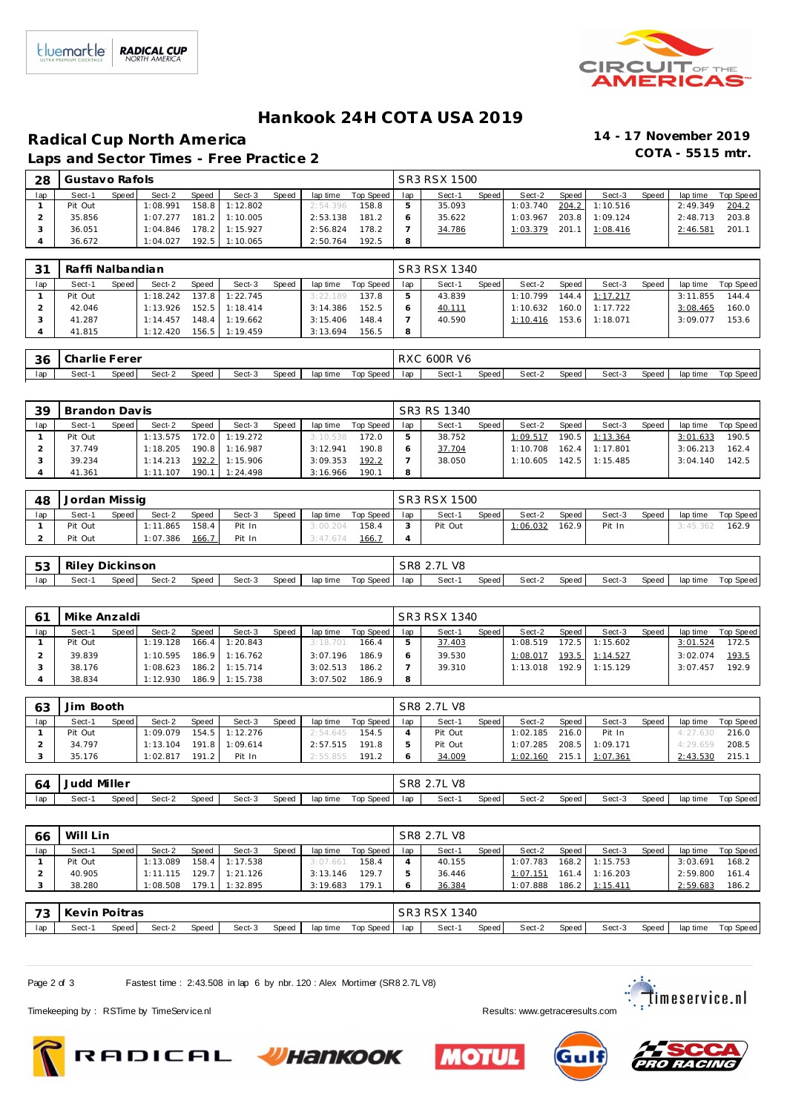

### **Hankook 24H COT A USA 2019**

# **Radical Cup North America 14 - 17 November 2019**

Laps and Sector Times - Free Practice 2

| Sect-1  | Sect-2   | <b>Speed</b>            | Sect-3 | Speed                                                                  | lap time |       | lap      | Sect-1    | Speed | Sect-2       | Speed | Sect-3   | Speed                            | lap time | Top Speed |
|---------|----------|-------------------------|--------|------------------------------------------------------------------------|----------|-------|----------|-----------|-------|--------------|-------|----------|----------------------------------|----------|-----------|
| Pit Out | 1:08.991 |                         |        |                                                                        |          | 158.8 |          | 35.093    |       | 1:03.740     |       | 1:10.516 |                                  | 2:49.349 | 204.2     |
| 35.856  | 1:07.277 |                         |        |                                                                        | 2:53.138 | 181.2 |          | 35.622    |       | 1:03.967     |       | 1:09.124 |                                  | 2:48.713 | 203.8     |
| 36.051  | 1:04.846 |                         |        |                                                                        | 2:56.824 | 178.2 |          | 34.786    |       | 1:03.379     |       |          |                                  | 2:46.581 | 201.      |
| 36.672  | 1:04.027 |                         |        |                                                                        | 2:50.764 | 192.5 | 8        |           |       |              |       |          |                                  |          |           |
|         |          | Gustavo Rafols<br>Speed |        | 158.8 1:12.802<br>181.2 1:10.005<br>178.2 1:15.927<br>$192.5$ 1:10.065 |          |       | 2:54.396 | Top Speed |       | SR3 RSX 1500 |       |          | 204.2<br>203.8<br>201.1 1:08.416 |          |           |

| Top Speed<br>lap time | lap | Sect-1 |       |          |       |          |                                             |          |           |
|-----------------------|-----|--------|-------|----------|-------|----------|---------------------------------------------|----------|-----------|
|                       |     |        | Speed | Sect-2   | Speed | Sect-3   | <b>Speed</b>                                | lap time | Top Speed |
| 137.8<br>3:22.189     |     | 43.839 |       | 1:10.799 |       |          |                                             | 3:11.855 | 144.4     |
| 152.5<br>3:14.386     |     | 40.111 |       | 1:10.632 |       |          |                                             | 3:08.465 | 160.0     |
| 3:15.406<br>148.4     |     | 40.590 |       | 1:10.416 |       | 1:18.071 |                                             | 3:09.077 | 153.6     |
| 3:13.694<br>156.5     |     |        |       |          |       |          |                                             |          |           |
|                       |     |        |       |          |       |          | $144.4$ 1:17.217<br>160.0 1:17.722<br>153.6 |          |           |

| - 36 | ,I Charlie Ferer |       |        |       |        |       |          |           |     | RXC 600R V6 |       |        |       |        |       |          |           |
|------|------------------|-------|--------|-------|--------|-------|----------|-----------|-----|-------------|-------|--------|-------|--------|-------|----------|-----------|
| lap  | Sect-            | Speed | Sect-2 | Speed | Sect-3 | Speed | lap time | Top Speed | lap | Sect-1      | Speed | Sect-2 | Speed | Sect-3 | Speed | lap time | Top Speed |

| -39 | Brandon Davis |       |          |       |                |       |          |             |     | SR3 RS 1340 |       |          |       |                  |       |          |           |
|-----|---------------|-------|----------|-------|----------------|-------|----------|-------------|-----|-------------|-------|----------|-------|------------------|-------|----------|-----------|
| lap | Sect-1        | Speed | Sect-2   | Speed | Sect-3         | Speed | lap time | Top Speed I | lap | Sect-1      | Speed | Sect-2   | Speed | Sect-3           | Speed | lap time | Top Speed |
|     | Pit Out       |       | 1:13.575 | 172.0 | 1:19.272       |       | 3:10.538 | 172.0       |     | 38.752      |       | 1:09.517 |       | $190.5$ 1:13.364 |       | 3:01.633 | 190.5     |
|     | 37.749        |       | 1:18.205 |       | 190.8 1:16.987 |       | 3:12.941 | 190.8       |     | 37.704      |       | 1:10.708 | 162.4 | 1:17.801         |       | 3:06.213 | 162.4     |
|     | 39.234        |       | 1:14.213 |       | 192.2 1:15.906 |       | 3:09.353 | 192.2       |     | 38.050      |       | 1:10.605 |       | 142.5 1:15.485   |       | 3:04.140 | 142.5     |
|     | 41.361        |       | 1:11.107 | 190.1 | 1:24.498       |       | 3:16.966 | 190.1       |     |             |       |          |       |                  |       |          |           |

| 48  | Jordan Missig |       |          |              |        |       |          |           |     | SR3 RSX 1500 |       |          |       |        |       |          |           |
|-----|---------------|-------|----------|--------------|--------|-------|----------|-----------|-----|--------------|-------|----------|-------|--------|-------|----------|-----------|
| lap | Sect-1        | Speed | Sect-2   | <b>Speed</b> | Sect-3 | Speed | lap time | Top Speed | lap | Sect-1       | Speed | Sect-2   | Speed | Sect-3 | Speed | lap time | Top Speed |
|     | Pit Out       |       | 1:11.865 | 158.4        | Pit In |       | 3:00.204 | 158.4     |     | Pit Out      |       | 1:06.032 | 162.9 | Pit In |       | 3:45.36  | 162.9     |
|     | Pit Out       |       | 1:07.386 | 166.7        | Pit In |       | 3:47.674 | 166.      |     |              |       |          |       |        |       |          |           |

| 53 <sub>1</sub> | l Rilev Dickinson |       |        |       |        |       |                          | SR8 2.7L V8 |       |        |       |        |       |                    |
|-----------------|-------------------|-------|--------|-------|--------|-------|--------------------------|-------------|-------|--------|-------|--------|-------|--------------------|
| lap             | Sect-1            | Speed | Sect-2 | Speed | Sect-3 | Speed | lap time Top Speed   lap | Sect-1      | Speed | Sect-2 | Speed | Sect-3 | Speed | lap time Top Speed |

|     | Mike Anzaldi |       |          |       |                  |       |          |           |     | SR3 RSX 1340 |       |          |       |          |        |          |           |
|-----|--------------|-------|----------|-------|------------------|-------|----------|-----------|-----|--------------|-------|----------|-------|----------|--------|----------|-----------|
| lap | Sect-1       | Speed | Sect-2   | Speed | Sect-3           | Speed | lap time | Top Speed | lap | Sect-1       | Speed | Sect-2   | Speed | Sect-3   | Speed, | lap time | Top Speed |
|     | Pit Out      |       | 1:19.128 |       | $166.4$ 1:20.843 |       | 3:18.701 | 166.4     |     | 37.403       |       | 1:08.519 | 172.5 | 1:15.602 |        | 3:01.524 | 172.5     |
|     | 39.839       |       | 1:10.595 |       | 186.9 1:16.762   |       | 3:07.196 | 186.9     |     | 39.530       |       | 1:08.017 | 193.5 | 1:14.527 |        | 3:02.074 | 193.5     |
|     | 38.176       |       | 1:08.623 |       | $186.2$ 1:15.714 |       | 3:02.513 | 186.2     |     | 39.310       |       | 1:13.018 | 192.9 | 1:15.129 |        | 3:07.457 | 192.9     |
|     | 38.834       |       | 1:12.930 |       | 186.9 1:15.738   |       | 3:07.502 | 186.9     | 8   |              |       |          |       |          |        |          |           |

| 63  | Jim Booth   |       |          |       |                |       |          |           |     | SR8 2.7L V8 |       |                  |       |                |       |          |           |
|-----|-------------|-------|----------|-------|----------------|-------|----------|-----------|-----|-------------|-------|------------------|-------|----------------|-------|----------|-----------|
| lap | Sect-1      | Speed | Sect-2   | Speed | Sect-3         | Speed | lap time | Top Speed | lap | Sect-1      | Speed | Sect-2           | Speed | Sect-3         | Speed | lap time | Top Speed |
|     | Pit Out     |       | 1:09.079 |       | 154.5 1:12.276 |       | 2:54.645 | 154.5     |     | Pit Out     |       | $1:02.185$ 216.0 |       | Pit In         |       | 4:27.630 | 216.0     |
|     | 34.797      |       | 1:13.104 |       | 191.8 1:09.614 |       | 2:57.515 | 191.8     |     | Pit Out     |       | 1:07.285         |       | 208.5 1:09.171 |       | 4:29.659 | 208.5     |
|     | 35.176      |       | 1:02.817 | 191.2 | Pit In         |       | 2:55.855 | 191.2     | 6   | 34.009      |       | 1:02.160         |       | 215.1 1:07.361 |       | 2:43.530 | 215.1     |
|     |             |       |          |       |                |       |          |           |     |             |       |                  |       |                |       |          |           |
| 64  | Judd Miller |       |          |       |                |       |          |           |     | SR8 2.71 V8 |       |                  |       |                |       |          |           |

|     | U4 TVUU IVIITUT |       |        |       |        |       |          |                 | $U = 1$ |       |        |       |        |        |          |                  |
|-----|-----------------|-------|--------|-------|--------|-------|----------|-----------------|---------|-------|--------|-------|--------|--------|----------|------------------|
| lap | Sect-           | Speed | Sect-2 | Speed | Sect-3 | Speed | lap time | Top Speed   lap | Sect-1  | Speed | Sect-2 | Speed | Sect-3 | Speed. | lap time | <b>Top Speed</b> |
|     |                 |       |        |       |        |       |          |                 |         |       |        |       |        |        |          |                  |

| 66  | Will Lin      |       |          |       |          |       |          |           |     | SR8 2.7L V8  |       |          |       |                |       |          |           |
|-----|---------------|-------|----------|-------|----------|-------|----------|-----------|-----|--------------|-------|----------|-------|----------------|-------|----------|-----------|
| lap | Sect-1        | Speed | Sect-2   | Speed | Sect-3   | Speed | lap time | Top Speed | lap | Sect-1       | Speed | Sect-2   | Speed | Sect-3         | Speed | lap time | Top Speed |
|     | Pit Out       |       | :13.089  | 158.4 | 1:17.538 |       | 3:07.661 | 158.4     |     | 40.155       |       | 1:07.783 | 168.2 | 1:15.753       |       | 3:03.691 | 168.2     |
|     | 40.905        |       | 1:11.115 | 29.7  | 1:21.126 |       | 3:13.146 | 129.7     | ь.  | 36.446       |       | 1:07.151 | 161.4 | 1:16.203       |       | 2:59.800 | 161.4     |
|     | 38.280        |       | :08.508  | 179.7 | 1:32.895 |       | 3:19.683 | 179.1     |     | 36.384       |       | 1:07.888 |       | 186.2 1:15.411 |       | 2:59.683 | 186.2     |
|     |               |       |          |       |          |       |          |           |     |              |       |          |       |                |       |          |           |
| 73  | Kevin Poitras |       |          |       |          |       |          |           |     | SR3 RSX 1340 |       |          |       |                |       |          |           |
| lap | Sect-1        | Speed | Sect-2   | Speed | Sect-3   | Speed | lap time | Top Speed | lap | Sect-1       | Speed | Sect-2   | Speed | Sect-3         | Speed | lap time | Top Speed |

Page 2 of 3 Fastest time : 2:43.508 in lap 6 by nbr. 120 : Alex Mortimer (SR8 2.7L V8)

.<br>. timeservice.nl

Timekeeping by : RSTime by TimeServ ice.nl **Results:** WWW.getraceresults.com